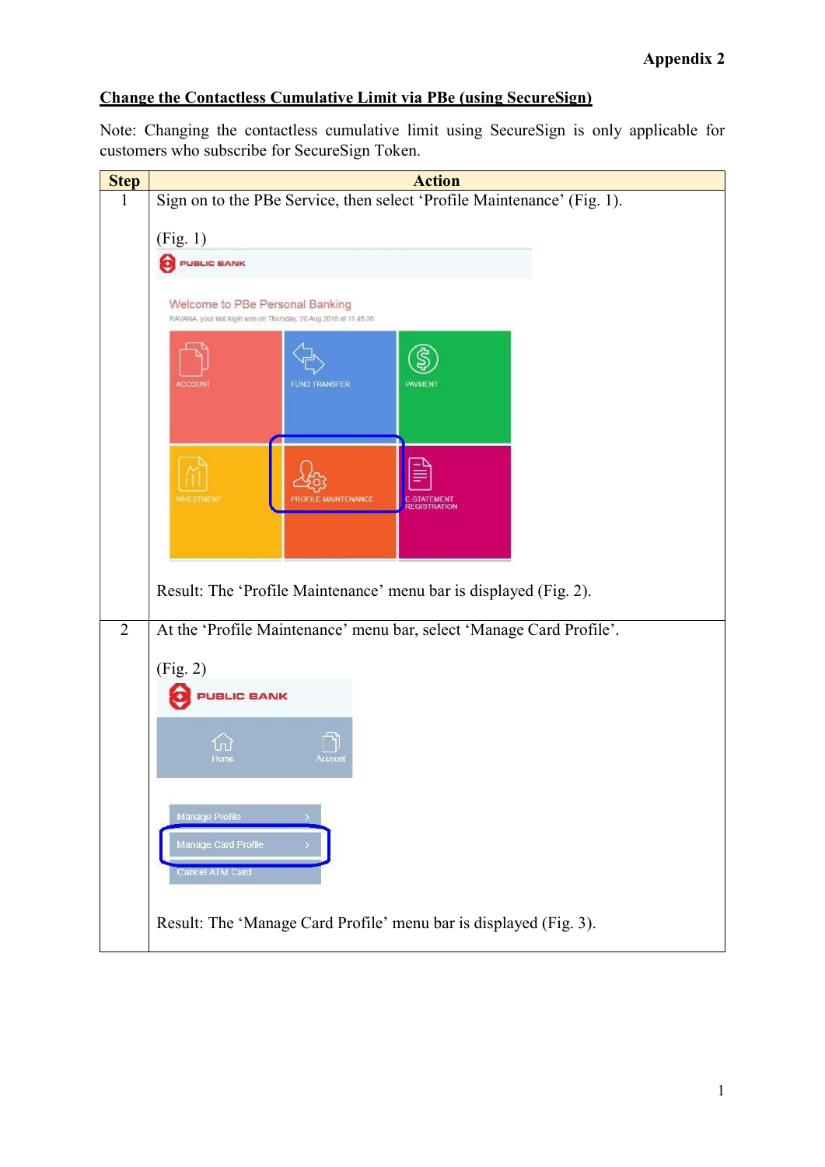Note: Changing the contactless cumulative limit using SecureSign is only applicable for customers who subscribe for SecureSign Token.

| <b>Step</b>    | <b>Action</b>                                                                                       |
|----------------|-----------------------------------------------------------------------------------------------------|
|                | Sign on to the PBe Service, then select 'Profile Maintenance' (Fig. 1).                             |
|                | (Fig. 1)                                                                                            |
|                | <b>PUBLIC BANK</b>                                                                                  |
|                |                                                                                                     |
|                | Welcome to PBe Personal Banking<br>RAVANA, your last login was on Thursday, 30 Aug 2018 at 11:45:38 |
|                | <b>FUND TRANSFER</b><br><b>PAYMENT</b><br><b>ACCOUN</b>                                             |
|                |                                                                                                     |
|                | <b>INVESTMENT</b><br><b>MAINTENANCE</b><br>E-STATEMENT<br>REGISTRATION                              |
|                | Result: The 'Profile Maintenance' menu bar is displayed (Fig. 2).                                   |
| $\overline{2}$ | At the 'Profile Maintenance' menu bar, select 'Manage Card Profile'.                                |
|                | (Fig. 2)                                                                                            |
|                | UBLIC BANK                                                                                          |
|                | tome                                                                                                |
|                | Manage Profile<br>Manage Card Profile<br><b>Cancel ATM Card</b>                                     |
|                | Result: The 'Manage Card Profile' menu bar is displayed (Fig. 3).                                   |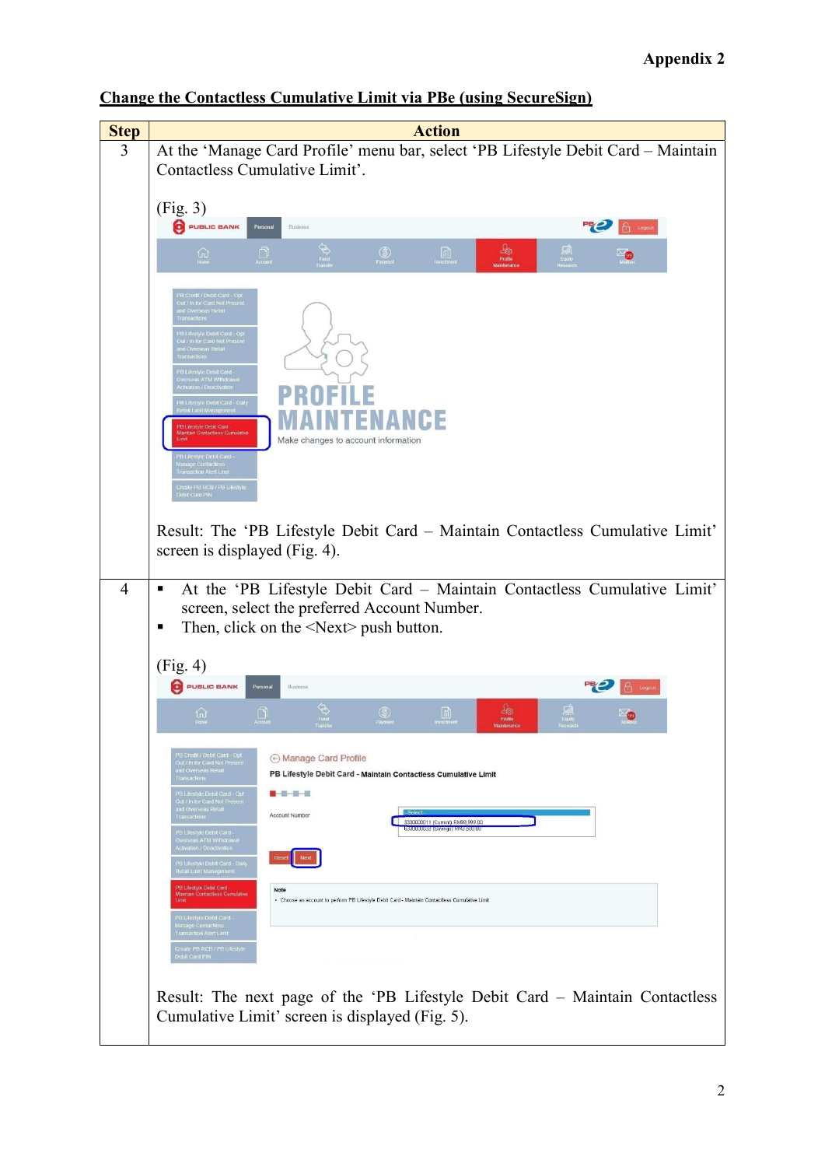| <b>Step</b>    | <b>Action</b>                                                                                                                                                                                                                                                                                                                                                                                                                                                                                                      |
|----------------|--------------------------------------------------------------------------------------------------------------------------------------------------------------------------------------------------------------------------------------------------------------------------------------------------------------------------------------------------------------------------------------------------------------------------------------------------------------------------------------------------------------------|
| 3              | At the 'Manage Card Profile' menu bar, select 'PB Lifestyle Debit Card - Maintain                                                                                                                                                                                                                                                                                                                                                                                                                                  |
|                | Contactless Cumulative Limit'.                                                                                                                                                                                                                                                                                                                                                                                                                                                                                     |
|                |                                                                                                                                                                                                                                                                                                                                                                                                                                                                                                                    |
|                | (Fig. 3)                                                                                                                                                                                                                                                                                                                                                                                                                                                                                                           |
|                | 吧<br>PUBLIC BANK<br>Personal<br>Business<br><b>b</b> Logout                                                                                                                                                                                                                                                                                                                                                                                                                                                        |
|                |                                                                                                                                                                                                                                                                                                                                                                                                                                                                                                                    |
|                | $\begin{array}{c} \Delta_{\text{GS}} \\ \text{Profine} \end{array}$<br>國<br>$\circledS$<br>Payment<br>$\begin{array}{c} \boxed{11} \\ \boxed{11} \\ \boxed{11} \end{array}$<br>$\widehat{w}$<br>$\Box$<br>ு                                                                                                                                                                                                                                                                                                        |
|                | B Credit / Debit Card - Opt<br>Out / In for Card Not Present<br>ind Overseas Retail<br>-<br>PB Lifestyle Debit Card - Opl<br>Out / In for Card Not Present<br>and Overseas Retail<br>-<br>PB Lifestyle Debit Card<br>-<br>Activation / Deactivation<br>B Lifestyle Debit Card - Daily<br>letail Limit Management<br>PB Lifestyle Debit Card<br><b>Maintain Contactless Cumulativ</b><br>Make changes to account information<br>Limit<br>PB Lifestyle Debit Card -<br>Manage Contactiess<br>Transaction Alert Limit |
|                | Create PB RCB / PB Lifestyle<br>Debit Card PIN<br>Result: The 'PB Lifestyle Debit Card - Maintain Contactless Cumulative Limit'<br>screen is displayed (Fig. 4).                                                                                                                                                                                                                                                                                                                                                   |
|                |                                                                                                                                                                                                                                                                                                                                                                                                                                                                                                                    |
| $\overline{4}$ | At the 'PB Lifestyle Debit Card - Maintain Contactless Cumulative Limit'<br>п<br>screen, select the preferred Account Number.<br>Then, click on the $\le$ Next $\ge$ push button.<br>Е                                                                                                                                                                                                                                                                                                                             |
|                | (Fig. 4)                                                                                                                                                                                                                                                                                                                                                                                                                                                                                                           |
|                | 명2<br>PUBLIC BANK<br>Personal<br>Business<br>ଳ Logo                                                                                                                                                                                                                                                                                                                                                                                                                                                                |
|                | 地<br>$\circledS$<br>삾<br>$\Box$<br>Profile                                                                                                                                                                                                                                                                                                                                                                                                                                                                         |
|                | PB Credit / Debit Card - Opt<br>Out / In for Card Not Present<br>and Overseas Retail<br>⊙ Manage Card Profile<br>unu Overseas Reta<br>Transactions<br>PB Lifestyle Debit Card - Maintain Contactless Cumulative Limit<br>PB Lifestyle Debit Card - Opt<br>.<br>Out / in for Card Not Present<br>and Overseas Retai<br>-<br>Account Number<br>3330000011 (Current) RM99,999.00                                                                                                                                      |
|                | <b>BIS BULBUSS TOSYNINGS IN MISSOURU</b><br>PB Lifestyle Debit Card<br><b>Overseas ATM Withdrawal</b><br><b>Activation / Deactivation</b><br>PB Lifestyle Debit Card - Daily<br>Retail Limit Management                                                                                                                                                                                                                                                                                                            |
|                | PB Lifestyle Debit Card<br>Note<br><b>Maintain Contactless Cumulative</b><br>- Choose an account to perform PB Lifestyle Debit Card - Maintain Contactless Cumulative Limit<br>Limit<br>PB Lifestyle Debit Card -<br>Manage Contactiess<br>Transaction Alert Limit                                                                                                                                                                                                                                                 |
|                | Create PB RCB / PB Lifestyle<br>Debit Card PiN                                                                                                                                                                                                                                                                                                                                                                                                                                                                     |
|                | Result: The next page of the 'PB Lifestyle Debit Card – Maintain Contactless<br>Cumulative Limit' screen is displayed (Fig. 5).                                                                                                                                                                                                                                                                                                                                                                                    |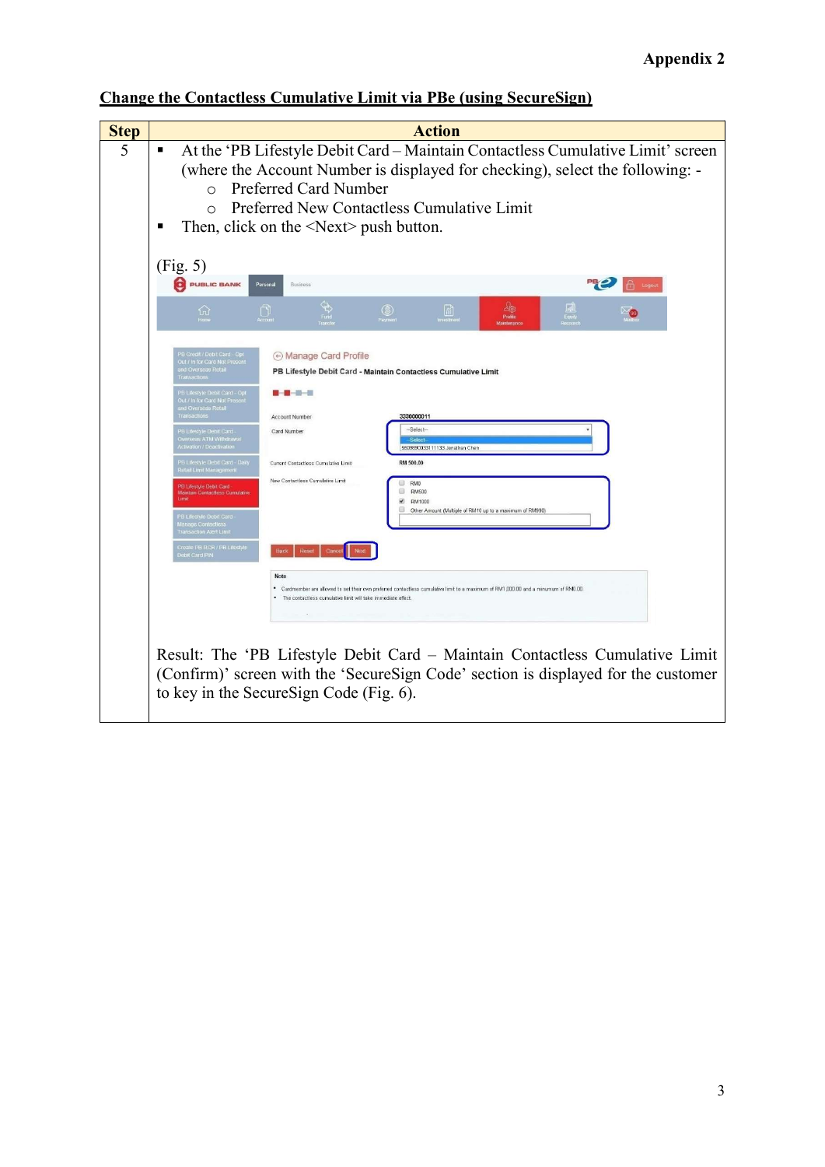| <b>Step</b> | <b>Action</b>                                                                                                                                                                                                                                                                                                                                                                                                                                                                                                                                                                                                                                                                                                                                                                                                                                                                                                                                                                                                                                                                                                                                                                                                           |
|-------------|-------------------------------------------------------------------------------------------------------------------------------------------------------------------------------------------------------------------------------------------------------------------------------------------------------------------------------------------------------------------------------------------------------------------------------------------------------------------------------------------------------------------------------------------------------------------------------------------------------------------------------------------------------------------------------------------------------------------------------------------------------------------------------------------------------------------------------------------------------------------------------------------------------------------------------------------------------------------------------------------------------------------------------------------------------------------------------------------------------------------------------------------------------------------------------------------------------------------------|
| 5           | At the 'PB Lifestyle Debit Card - Maintain Contactless Cumulative Limit' screen<br>(where the Account Number is displayed for checking), select the following: -<br><b>Preferred Card Number</b><br>$\bigcap$<br>Preferred New Contactless Cumulative Limit<br>$\cap$<br>Then, click on the $\le$ Next $\ge$ push button.                                                                                                                                                                                                                                                                                                                                                                                                                                                                                                                                                                                                                                                                                                                                                                                                                                                                                               |
|             | (Fig. 5)<br><b>O</b> PUBLIC BANK<br><b>Business</b><br>Personal                                                                                                                                                                                                                                                                                                                                                                                                                                                                                                                                                                                                                                                                                                                                                                                                                                                                                                                                                                                                                                                                                                                                                         |
|             | 幽<br>凬<br>$\circledS$<br>lő)<br>んしょう しょうしゃ しゅうしょう<br>$\Box$<br>Profile                                                                                                                                                                                                                                                                                                                                                                                                                                                                                                                                                                                                                                                                                                                                                                                                                                                                                                                                                                                                                                                                                                                                                  |
|             | B Credit / Debit Card Opt<br>→ Manage Card Profile<br>Out / In for Card Not Present<br>and Overseas Retail<br>PB Lifestyle Debit Card - Maintain Contactless Cumulative Limit<br><b>Transactions</b><br>'B Lifestyle Debit Card - Opt<br>.<br>/ In for Card Not Presen<br>ni Uverskab Reti<br>3330000011<br><b>Account Number</b><br><sup>2</sup> B Lifestyle Debit Card -<br>$-Sa$ lact-<br>Card Number<br>erseas ATM Withdrawa<br>Solont<br>ctivation / Deactivation<br>5509890033111133 Jonathan Chen<br>PB Lifestyle Debit Card - Daily<br>RM 500.00<br>Current Contactless Cumulative Limit<br>Retail Limit Management<br>New Contactless Cumulative Limit<br>RM <sub>0</sub><br>PELifestyle Debit Card<br>⊟<br><b>RM500</b><br>Maintain Contactless Cumulative<br>Limit<br>₩<br>RM1000<br>⊟<br>Other Amount (Multiple of RM10 up to a maximum of RM990)<br>.<br>PB Lifestyle Debit Card<br>Manage Contactless<br><b>Transaction Alert Limit</b><br>Create PB RCB / PB Lifestyle<br>ebit Card PIN<br>Note<br>* Cardmember are allowed to set their own preferred contactless cumulative limit to a maximum of RM1,000.00 and a minumum of RM0.00.<br>* The contactless cumulative limit will take immediate effect |
|             | Result: The 'PB Lifestyle Debit Card - Maintain Contactless Cumulative Limit<br>(Confirm)' screen with the 'SecureSign Code' section is displayed for the customer<br>to key in the SecureSign Code (Fig. 6).                                                                                                                                                                                                                                                                                                                                                                                                                                                                                                                                                                                                                                                                                                                                                                                                                                                                                                                                                                                                           |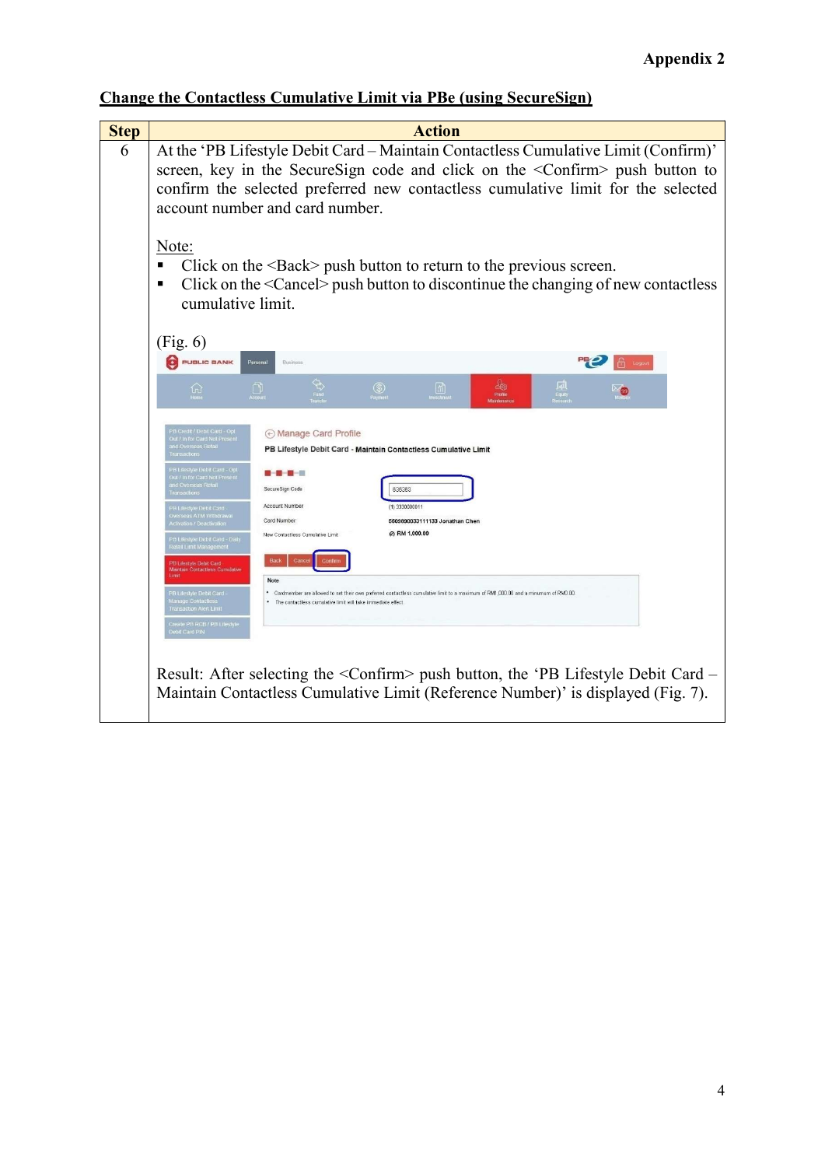| <b>Step</b> | <b>Action</b>                                                                                                                                                                                                                                                                                                                                                                                                                                                                                                                                                                                                                                                                                                                                                                                                                                                                                                                                                 |
|-------------|---------------------------------------------------------------------------------------------------------------------------------------------------------------------------------------------------------------------------------------------------------------------------------------------------------------------------------------------------------------------------------------------------------------------------------------------------------------------------------------------------------------------------------------------------------------------------------------------------------------------------------------------------------------------------------------------------------------------------------------------------------------------------------------------------------------------------------------------------------------------------------------------------------------------------------------------------------------|
| 6           | At the 'PB Lifestyle Debit Card - Maintain Contactless Cumulative Limit (Confirm)'<br>screen, key in the SecureSign code and click on the <confirm> push button to<br/>confirm the selected preferred new contactless cumulative limit for the selected<br/>account number and card number.</confirm>                                                                                                                                                                                                                                                                                                                                                                                                                                                                                                                                                                                                                                                         |
|             | Note:<br>Click on the $\leq$ Back $>$ push button to return to the previous screen.<br>Click on the <cancel> push button to discontinue the changing of new contactless<br/>cumulative limit.</cancel>                                                                                                                                                                                                                                                                                                                                                                                                                                                                                                                                                                                                                                                                                                                                                        |
|             | (Fig. 6)                                                                                                                                                                                                                                                                                                                                                                                                                                                                                                                                                                                                                                                                                                                                                                                                                                                                                                                                                      |
|             | PUBLIC BANK<br>Personal<br>Business                                                                                                                                                                                                                                                                                                                                                                                                                                                                                                                                                                                                                                                                                                                                                                                                                                                                                                                           |
|             | $\circledS$<br>⋒<br>$\widehat{w}$<br>n                                                                                                                                                                                                                                                                                                                                                                                                                                                                                                                                                                                                                                                                                                                                                                                                                                                                                                                        |
|             | B Credit / Debit Card - Opt<br>A Manage Card Profile<br>Out / In for Card Not Presen<br>d Overseas Retail<br>PB Lifestyle Debit Card - Maintain Contactless Cumulative Limit<br>lestyle Debit Card - Opt<br>e norseas R<br>SecureSign Code<br>636363<br>Account Number<br><b>B</b> Lifestyle Debit Card<br>(1) 3330000011<br>erseas ATM Withdrawal<br>Card Number<br>5509890033111133 Jonathan Chen<br>ctivation / Deactivation<br>(2) RM 1,000.00<br>New Contactless Cumulative Limit<br><b>Lifestyle Debit Card - Daily</b><br>Retail Limit Managemer<br>PB Lifestyle Debit Card<br>Maintain Contactless Cumulative<br>Note<br>PB Lifestyle Debit Card -<br>* Cardmember are allowed to set their own preferred contactless cumulative limit to a maximum of RM1,000.00 and a minumum of RM0.00<br>lanage Contactle<br>The contactless cumulative limit will take immediate effect<br>Transaction Alert Limit<br>Create PB RCB / PB Lifestyle<br>t Card PiN |
|             | Result: After selecting the <confirm> push button, the 'PB Lifestyle Debit Card –<br/>Maintain Contactless Cumulative Limit (Reference Number)' is displayed (Fig. 7).</confirm>                                                                                                                                                                                                                                                                                                                                                                                                                                                                                                                                                                                                                                                                                                                                                                              |